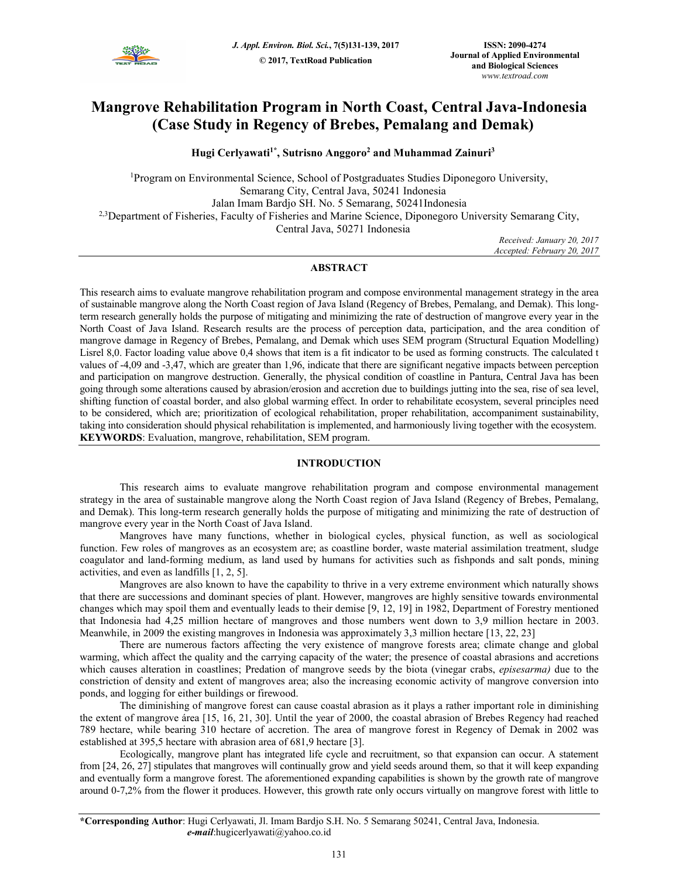

# **Mangrove Rehabilitation Program in North Coast, Central Java-Indonesia (Case Study in Regency of Brebes, Pemalang and Demak)**

**Hugi Cerlyawati1\*, Sutrisno Anggoro<sup>2</sup> and Muhammad Zainuri<sup>3</sup>**

<sup>1</sup>Program on Environmental Science, School of Postgraduates Studies Diponegoro University, Semarang City, Central Java, 50241 Indonesia Jalan Imam Bardjo SH. No. 5 Semarang, 50241Indonesia <sup>2,3</sup>Department of Fisheries, Faculty of Fisheries and Marine Science, Diponegoro University Semarang City, Central Java, 50271 Indonesia

 *Received: January 20, 2017 Accepted: February 20, 2017* 

# **ABSTRACT**

This research aims to evaluate mangrove rehabilitation program and compose environmental management strategy in the area of sustainable mangrove along the North Coast region of Java Island (Regency of Brebes, Pemalang, and Demak). This longterm research generally holds the purpose of mitigating and minimizing the rate of destruction of mangrove every year in the North Coast of Java Island. Research results are the process of perception data, participation, and the area condition of mangrove damage in Regency of Brebes, Pemalang, and Demak which uses SEM program (Structural Equation Modelling) Lisrel 8,0. Factor loading value above 0,4 shows that item is a fit indicator to be used as forming constructs. The calculated t values of -4,09 and -3,47, which are greater than 1,96, indicate that there are significant negative impacts between perception and participation on mangrove destruction. Generally, the physical condition of coastline in Pantura, Central Java has been going through some alterations caused by abrasion/erosion and accretion due to buildings jutting into the sea, rise of sea level, shifting function of coastal border, and also global warming effect. In order to rehabilitate ecosystem, several principles need to be considered, which are; prioritization of ecological rehabilitation, proper rehabilitation, accompaniment sustainability, taking into consideration should physical rehabilitation is implemented, and harmoniously living together with the ecosystem. **KEYWORDS**: Evaluation, mangrove, rehabilitation, SEM program.

# **INTRODUCTION**

This research aims to evaluate mangrove rehabilitation program and compose environmental management strategy in the area of sustainable mangrove along the North Coast region of Java Island (Regency of Brebes, Pemalang, and Demak). This long-term research generally holds the purpose of mitigating and minimizing the rate of destruction of mangrove every year in the North Coast of Java Island.

Mangroves have many functions, whether in biological cycles, physical function, as well as sociological function. Few roles of mangroves as an ecosystem are; as coastline border, waste material assimilation treatment, sludge coagulator and land-forming medium, as land used by humans for activities such as fishponds and salt ponds, mining activities, and even as landfills [1, 2, 5].

Mangroves are also known to have the capability to thrive in a very extreme environment which naturally shows that there are successions and dominant species of plant. However, mangroves are highly sensitive towards environmental changes which may spoil them and eventually leads to their demise [9, 12, 19] in 1982, Department of Forestry mentioned that Indonesia had 4,25 million hectare of mangroves and those numbers went down to 3,9 million hectare in 2003. Meanwhile, in 2009 the existing mangroves in Indonesia was approximately 3,3 million hectare [13, 22, 23]

There are numerous factors affecting the very existence of mangrove forests area; climate change and global warming, which affect the quality and the carrying capacity of the water; the presence of coastal abrasions and accretions which causes alteration in coastlines; Predation of mangrove seeds by the biota (vinegar crabs, *episesarma)* due to the constriction of density and extent of mangroves area; also the increasing economic activity of mangrove conversion into ponds, and logging for either buildings or firewood.

The diminishing of mangrove forest can cause coastal abrasion as it plays a rather important role in diminishing the extent of mangrove área [15, 16, 21, 30]. Until the year of 2000, the coastal abrasion of Brebes Regency had reached 789 hectare, while bearing 310 hectare of accretion. The area of mangrove forest in Regency of Demak in 2002 was established at 395,5 hectare with abrasion area of 681,9 hectare [3].

Ecologically, mangrove plant has integrated life cycle and recruitment, so that expansion can occur. A statement from [24, 26, 27] stipulates that mangroves will continually grow and yield seeds around them, so that it will keep expanding and eventually form a mangrove forest. The aforementioned expanding capabilities is shown by the growth rate of mangrove around 0-7,2% from the flower it produces. However, this growth rate only occurs virtually on mangrove forest with little to

**\*Corresponding Author**: Hugi Cerlyawati, Jl. Imam Bardjo S.H. No. 5 Semarang 50241, Central Java, Indonesia.  *e-mail*:hugicerlyawati@yahoo.co.id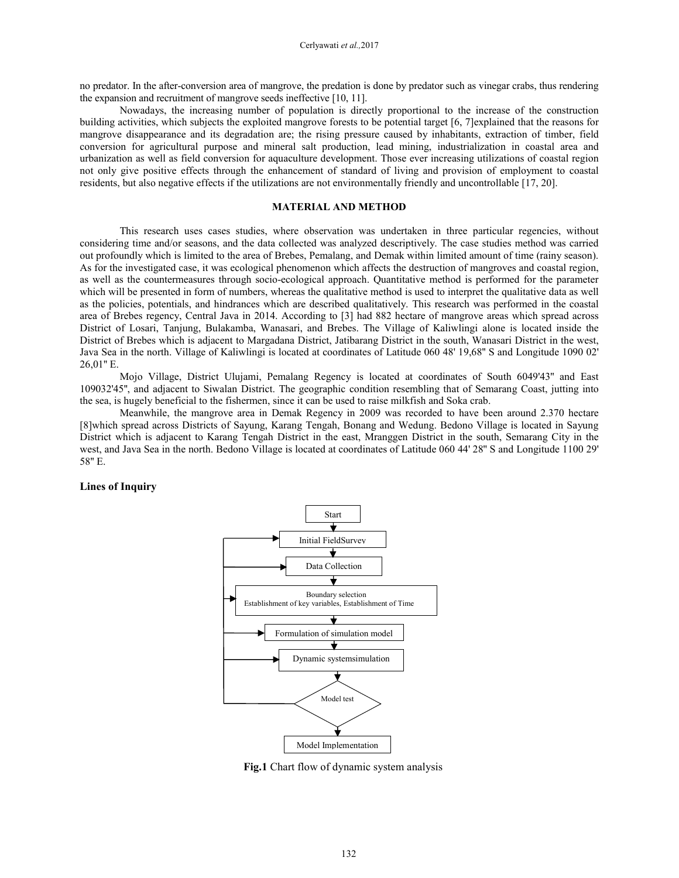no predator. In the after-conversion area of mangrove, the predation is done by predator such as vinegar crabs, thus rendering the expansion and recruitment of mangrove seeds ineffective [10, 11].

Nowadays, the increasing number of population is directly proportional to the increase of the construction building activities, which subjects the exploited mangrove forests to be potential target [6, 7]explained that the reasons for mangrove disappearance and its degradation are; the rising pressure caused by inhabitants, extraction of timber, field conversion for agricultural purpose and mineral salt production, lead mining, industrialization in coastal area and urbanization as well as field conversion for aquaculture development. Those ever increasing utilizations of coastal region not only give positive effects through the enhancement of standard of living and provision of employment to coastal residents, but also negative effects if the utilizations are not environmentally friendly and uncontrollable [17, 20].

# **MATERIAL AND METHOD**

This research uses cases studies, where observation was undertaken in three particular regencies, without considering time and/or seasons, and the data collected was analyzed descriptively. The case studies method was carried out profoundly which is limited to the area of Brebes, Pemalang, and Demak within limited amount of time (rainy season). As for the investigated case, it was ecological phenomenon which affects the destruction of mangroves and coastal region, as well as the countermeasures through socio-ecological approach. Quantitative method is performed for the parameter which will be presented in form of numbers, whereas the qualitative method is used to interpret the qualitative data as well as the policies, potentials, and hindrances which are described qualitatively. This research was performed in the coastal area of Brebes regency, Central Java in 2014. According to [3] had 882 hectare of mangrove areas which spread across District of Losari, Tanjung, Bulakamba, Wanasari, and Brebes. The Village of Kaliwlingi alone is located inside the District of Brebes which is adjacent to Margadana District, Jatibarang District in the south, Wanasari District in the west, Java Sea in the north. Village of Kaliwlingi is located at coordinates of Latitude 060 48' 19,68'' S and Longitude 1090 02' 26,01'' E.

Mojo Village, District Ulujami, Pemalang Regency is located at coordinates of South 6049'43'' and East 109032'45'', and adjacent to Siwalan District. The geographic condition resembling that of Semarang Coast, jutting into the sea, is hugely beneficial to the fishermen, since it can be used to raise milkfish and Soka crab.

Meanwhile, the mangrove area in Demak Regency in 2009 was recorded to have been around 2.370 hectare [8]which spread across Districts of Sayung, Karang Tengah, Bonang and Wedung. Bedono Village is located in Sayung District which is adjacent to Karang Tengah District in the east, Mranggen District in the south, Semarang City in the west, and Java Sea in the north. Bedono Village is located at coordinates of Latitude 060 44' 28'' S and Longitude 1100 29' 58'' E.

# **Lines of Inquiry**



**Fig.1** Chart flow of dynamic system analysis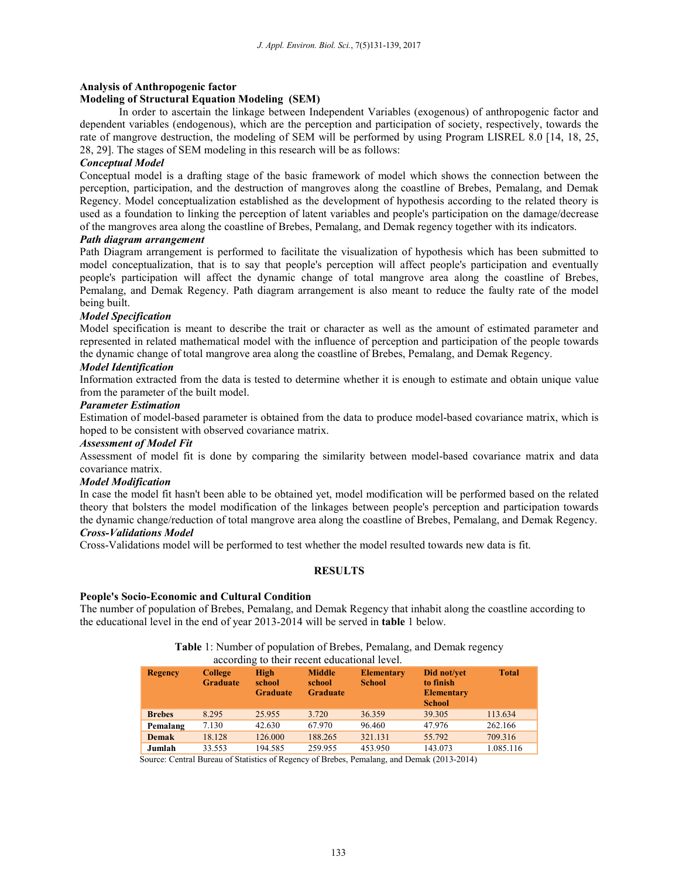# **Analysis of Anthropogenic factor**

# **Modeling of Structural Equation Modeling (SEM)**

In order to ascertain the linkage between Independent Variables (exogenous) of anthropogenic factor and dependent variables (endogenous), which are the perception and participation of society, respectively, towards the rate of mangrove destruction, the modeling of SEM will be performed by using Program LISREL 8.0 [14, 18, 25, 28, 29]. The stages of SEM modeling in this research will be as follows:

# *Conceptual Model*

Conceptual model is a drafting stage of the basic framework of model which shows the connection between the perception, participation, and the destruction of mangroves along the coastline of Brebes, Pemalang, and Demak Regency. Model conceptualization established as the development of hypothesis according to the related theory is used as a foundation to linking the perception of latent variables and people's participation on the damage/decrease of the mangroves area along the coastline of Brebes, Pemalang, and Demak regency together with its indicators.

# *Path diagram arrangement*

Path Diagram arrangement is performed to facilitate the visualization of hypothesis which has been submitted to model conceptualization, that is to say that people's perception will affect people's participation and eventually people's participation will affect the dynamic change of total mangrove area along the coastline of Brebes, Pemalang, and Demak Regency. Path diagram arrangement is also meant to reduce the faulty rate of the model being built.

# *Model Specification*

Model specification is meant to describe the trait or character as well as the amount of estimated parameter and represented in related mathematical model with the influence of perception and participation of the people towards the dynamic change of total mangrove area along the coastline of Brebes, Pemalang, and Demak Regency.

# *Model Identification*

Information extracted from the data is tested to determine whether it is enough to estimate and obtain unique value from the parameter of the built model.

# *Parameter Estimation*

Estimation of model-based parameter is obtained from the data to produce model-based covariance matrix, which is hoped to be consistent with observed covariance matrix.

# *Assessment of Model Fit*

Assessment of model fit is done by comparing the similarity between model-based covariance matrix and data covariance matrix.

# *Model Modification*

In case the model fit hasn't been able to be obtained yet, model modification will be performed based on the related theory that bolsters the model modification of the linkages between people's perception and participation towards the dynamic change/reduction of total mangrove area along the coastline of Brebes, Pemalang, and Demak Regency. *Cross-Validations Model* 

Cross-Validations model will be performed to test whether the model resulted towards new data is fit.

# **RESULTS**

### **People's Socio-Economic and Cultural Condition**

The number of population of Brebes, Pemalang, and Demak Regency that inhabit along the coastline according to the educational level in the end of year 2013-2014 will be served in **table** 1 below.

# **Table** 1: Number of population of Brebes, Pemalang, and Demak regency

|                |                                   | according to their recent educational level. |                                            |                                    |                                                                |              |
|----------------|-----------------------------------|----------------------------------------------|--------------------------------------------|------------------------------------|----------------------------------------------------------------|--------------|
| <b>Regency</b> | <b>College</b><br><b>Graduate</b> | High<br>school<br><b>Graduate</b>            | <b>Middle</b><br>school<br><b>Graduate</b> | <b>Elementary</b><br><b>School</b> | Did not/vet<br>to finish<br><b>Elementary</b><br><b>School</b> | <b>Total</b> |
| <b>Brebes</b>  | 8.295                             | 25.955                                       | 3.720                                      | 36.359                             | 39.305                                                         | 113.634      |
| Pemalang       | 7.130                             | 42.630                                       | 67.970                                     | 96.460                             | 47.976                                                         | 262.166      |
| <b>Demak</b>   | 18.128                            | 126,000                                      | 188.265                                    | 321.131                            | 55.792                                                         | 709.316      |
| Jumlah         | 33.553                            | 194.585                                      | 259.955                                    | 453.950                            | 143.073                                                        | 1.085.116    |

Source: Central Bureau of Statistics of Regency of Brebes, Pemalang, and Demak (2013-2014)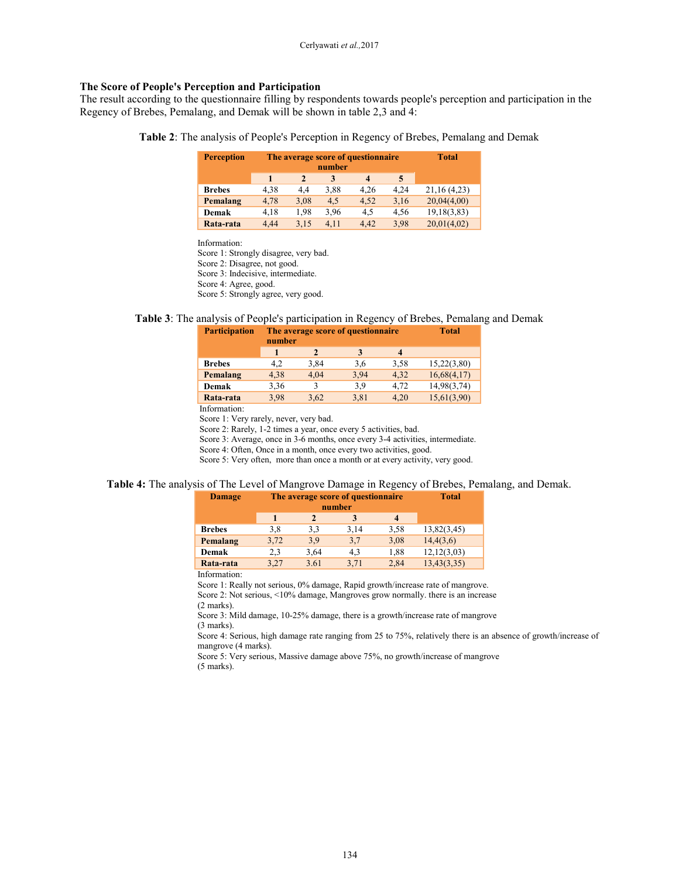# **The Score of People's Perception and Participation**

The result according to the questionnaire filling by respondents towards people's perception and participation in the Regency of Brebes, Pemalang, and Demak will be shown in table 2,3 and 4:

**Table 2**: The analysis of People's Perception in Regency of Brebes, Pemalang and Demak

| <b>Perception</b> |      |              | number | The average score of questionnaire |      | <b>Total</b>   |
|-------------------|------|--------------|--------|------------------------------------|------|----------------|
|                   |      | $\mathbf{2}$ | 3      | 4                                  | 5    |                |
| <b>Brebes</b>     | 4,38 | 4.4          | 3.88   | 4.26                               | 4.24 | 21, 16 (4, 23) |
| Pemalang          | 4.78 | 3,08         | 4.5    | 4.52                               | 3,16 | 20,04(4,00)    |
| Demak             | 4.18 | 1.98         | 3.96   | 4.5                                | 4,56 | 19,18(3,83)    |
| Rata-rata         | 4.44 | 3.15         | 4.11   | 4.42                               | 3.98 | 20,01(4,02)    |

Information:

Score 1: Strongly disagree, very bad. Score 2: Disagree, not good. Score 3: Indecisive, intermediate. Score 4: Agree, good. Score 5: Strongly agree, very good.

# **Table 3**: The analysis of People's participation in Regency of Brebes, Pemalang and Demak

| <b>Participation</b> | number |      | The average score of questionnaire |      | <b>Total</b> |
|----------------------|--------|------|------------------------------------|------|--------------|
|                      |        |      | 3                                  | 4    |              |
| <b>Brebes</b>        | 4,2    | 3,84 | 3,6                                | 3.58 | 15,22(3,80)  |
| Pemalang             | 4,38   | 4,04 | 3,94                               | 4,32 | 16,68(4,17)  |
| Demak                | 3,36   | 3    | 3.9                                | 4,72 | 14,98(3,74)  |
| Rata-rata            | 3.98   | 3.62 | 3,81                               | 4,20 | 15,61(3,90)  |
| Information:         |        |      |                                    |      |              |

Score 1: Very rarely, never, very bad.

Score 2: Rarely, 1-2 times a year, once every 5 activities, bad.

Score 3: Average, once in 3-6 months, once every 3-4 activities, intermediate.

Score 4: Often, Once in a month, once every two activities, good.

Score 5: Very often, more than once a month or at every activity, very good.

# **Table 4:** The analysis of The Level of Mangrove Damage in Regency of Brebes, Pemalang, and Demak.

| <b>Damage</b> | The average score of questionnaire | <b>Total</b> |      |      |               |
|---------------|------------------------------------|--------------|------|------|---------------|
|               |                                    |              |      |      |               |
| <b>Brebes</b> | 3,8                                | 3,3          | 3,14 | 3,58 | 13,82(3,45)   |
| Pemalang      | 3,72                               | 3.9          | 3,7  | 3,08 | 14,4(3,6)     |
| Demak         | 2.3                                | 3.64         | 4,3  | 1,88 | 12, 12(3, 03) |
| Rata-rata     | 3,27                               | 3.61         | 3,71 | 2,84 | 13,43(3,35)   |

Information:

Score 1: Really not serious, 0% damage, Rapid growth/increase rate of mangrove. Score 2: Not serious, <10% damage, Mangroves grow normally. there is an increase (2 marks).

Score 3: Mild damage, 10-25% damage, there is a growth/increase rate of mangrove (3 marks).

Score 4: Serious, high damage rate ranging from 25 to 75%, relatively there is an absence of growth/increase of mangrove (4 marks).

Score 5: Very serious, Massive damage above 75%, no growth/increase of mangrove (5 marks).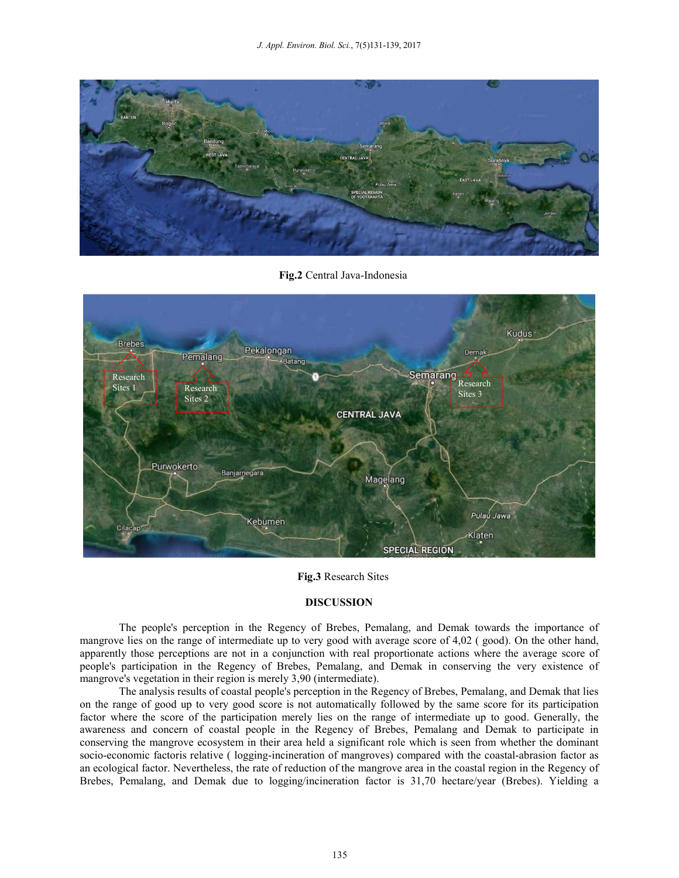

**Fig.2** Central Java-Indonesia



**Fig.3** Research Sites

# **DISCUSSION**

The people's perception in the Regency of Brebes, Pemalang, and Demak towards the importance of mangrove lies on the range of intermediate up to very good with average score of 4,02 ( good). On the other hand, apparently those perceptions are not in a conjunction with real proportionate actions where the average score of people's participation in the Regency of Brebes, Pemalang, and Demak in conserving the very existence of mangrove's vegetation in their region is merely 3,90 (intermediate).

The analysis results of coastal people's perception in the Regency of Brebes, Pemalang, and Demak that lies on the range of good up to very good score is not automatically followed by the same score for its participation factor where the score of the participation merely lies on the range of intermediate up to good. Generally, the awareness and concern of coastal people in the Regency of Brebes, Pemalang and Demak to participate in conserving the mangrove ecosystem in their area held a significant role which is seen from whether the dominant socio-economic factoris relative ( logging-incineration of mangroves) compared with the coastal-abrasion factor as an ecological factor. Nevertheless, the rate of reduction of the mangrove area in the coastal region in the Regency of Brebes, Pemalang, and Demak due to logging/incineration factor is 31,70 hectare/year (Brebes). Yielding a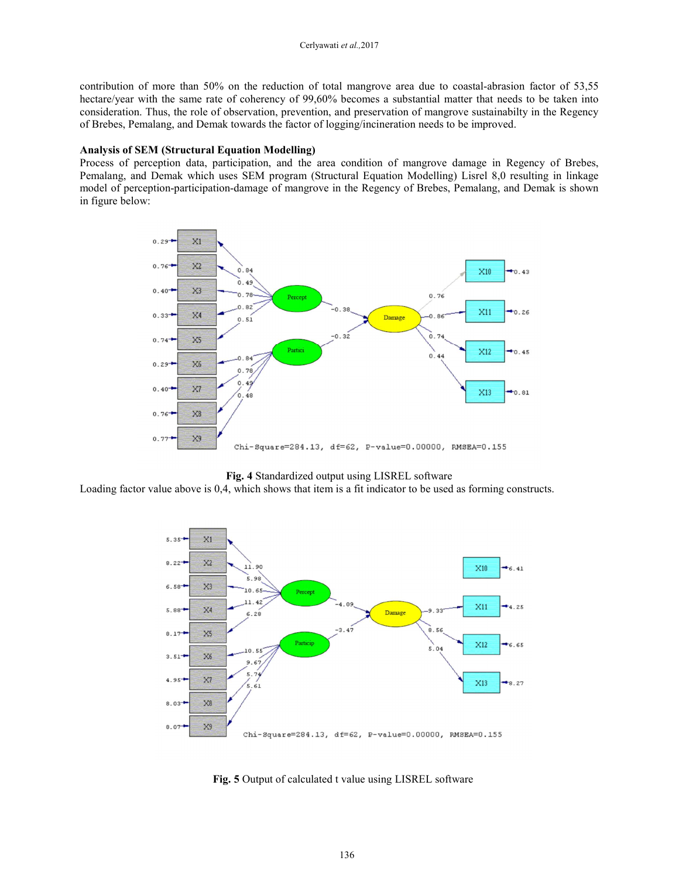contribution of more than 50% on the reduction of total mangrove area due to coastal-abrasion factor of 53,55 hectare/year with the same rate of coherency of 99,60% becomes a substantial matter that needs to be taken into consideration. Thus, the role of observation, prevention, and preservation of mangrove sustainabilty in the Regency of Brebes, Pemalang, and Demak towards the factor of logging/incineration needs to be improved.

# **Analysis of SEM (Structural Equation Modelling)**

Process of perception data, participation, and the area condition of mangrove damage in Regency of Brebes, Pemalang, and Demak which uses SEM program (Structural Equation Modelling) Lisrel 8,0 resulting in linkage model of perception-participation-damage of mangrove in the Regency of Brebes, Pemalang, and Demak is shown in figure below:



### **Fig. 4** Standardized output using LISREL software

Loading factor value above is 0,4, which shows that item is a fit indicator to be used as forming constructs.



**Fig. 5** Output of calculated t value using LISREL software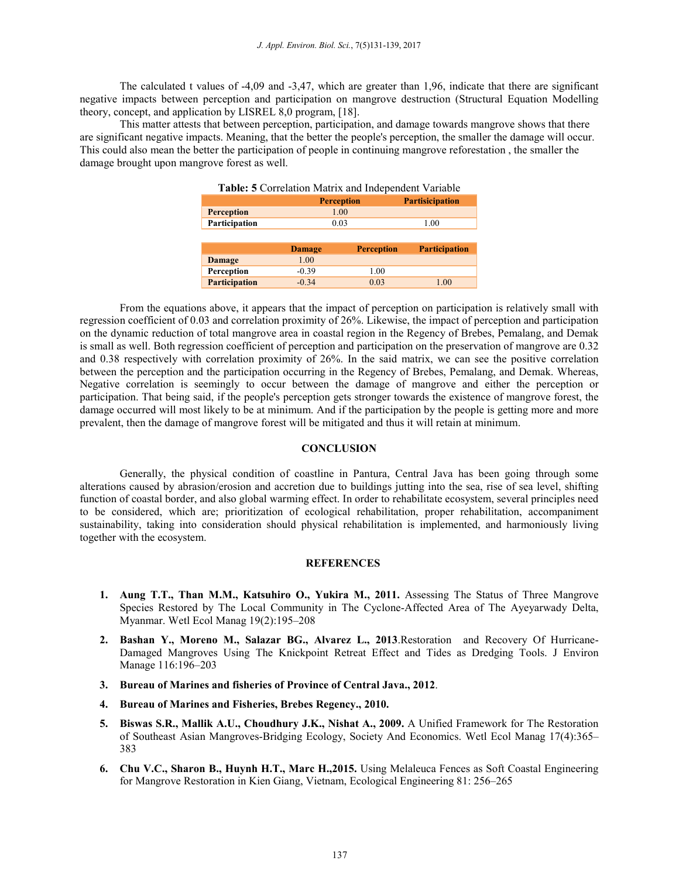The calculated t values of -4,09 and -3,47, which are greater than 1,96, indicate that there are significant negative impacts between perception and participation on mangrove destruction (Structural Equation Modelling theory, concept, and application by LISREL 8,0 program, [18].

This matter attests that between perception, participation, and damage towards mangrove shows that there are significant negative impacts. Meaning, that the better the people's perception, the smaller the damage will occur. This could also mean the better the participation of people in continuing mangrove reforestation , the smaller the damage brought upon mangrove forest as well.

| Table: 5 Correlation Matrix and Independent Variable |               |                   |                      |  |  |
|------------------------------------------------------|---------------|-------------------|----------------------|--|--|
|                                                      |               | <b>Perception</b> |                      |  |  |
| <b>Perception</b>                                    | 1.00          |                   |                      |  |  |
| Participation                                        | 0.03          |                   | 1.00                 |  |  |
|                                                      |               |                   |                      |  |  |
|                                                      |               |                   |                      |  |  |
|                                                      | <b>Damage</b> | <b>Perception</b> | <b>Participation</b> |  |  |
| Damage                                               | 1.00          |                   |                      |  |  |
| Perception                                           | $-0.39$       | 1.00              |                      |  |  |

From the equations above, it appears that the impact of perception on participation is relatively small with regression coefficient of 0.03 and correlation proximity of 26%. Likewise, the impact of perception and participation on the dynamic reduction of total mangrove area in coastal region in the Regency of Brebes, Pemalang, and Demak is small as well. Both regression coefficient of perception and participation on the preservation of mangrove are 0.32 and 0.38 respectively with correlation proximity of 26%. In the said matrix, we can see the positive correlation between the perception and the participation occurring in the Regency of Brebes, Pemalang, and Demak. Whereas, Negative correlation is seemingly to occur between the damage of mangrove and either the perception or participation. That being said, if the people's perception gets stronger towards the existence of mangrove forest, the damage occurred will most likely to be at minimum. And if the participation by the people is getting more and more prevalent, then the damage of mangrove forest will be mitigated and thus it will retain at minimum.

### **CONCLUSION**

Generally, the physical condition of coastline in Pantura, Central Java has been going through some alterations caused by abrasion/erosion and accretion due to buildings jutting into the sea, rise of sea level, shifting function of coastal border, and also global warming effect. In order to rehabilitate ecosystem, several principles need to be considered, which are; prioritization of ecological rehabilitation, proper rehabilitation, accompaniment sustainability, taking into consideration should physical rehabilitation is implemented, and harmoniously living together with the ecosystem.

# **REFERENCES**

- **1. Aung T.T., Than M.M., Katsuhiro O., Yukira M., 2011.** Assessing The Status of Three Mangrove Species Restored by The Local Community in The Cyclone-Affected Area of The Ayeyarwady Delta, Myanmar. Wetl Ecol Manag 19(2):195–208
- **2. Bashan Y., Moreno M., Salazar BG., Alvarez L., 2013**.Restoration and Recovery Of Hurricane-Damaged Mangroves Using The Knickpoint Retreat Effect and Tides as Dredging Tools. J Environ Manage 116:196–203
- **3. Bureau of Marines and fisheries of Province of Central Java., 2012**.
- **4. Bureau of Marines and Fisheries, Brebes Regency., 2010.**
- **5. Biswas S.R., Mallik A.U., Choudhury J.K., Nishat A., 2009.** A Unified Framework for The Restoration of Southeast Asian Mangroves-Bridging Ecology, Society And Economics. Wetl Ecol Manag 17(4):365– 383
- **6. Chu V.C., Sharon B., Huynh H.T., Marc H.,2015.** Using Melaleuca Fences as Soft Coastal Engineering for Mangrove Restoration in Kien Giang, Vietnam, Ecological Engineering 81: 256–265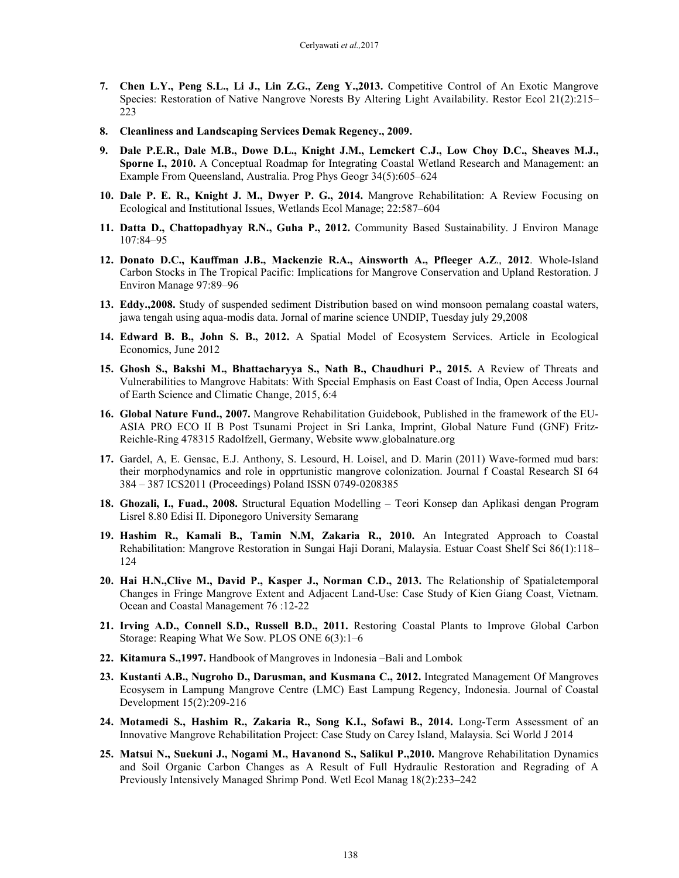- **7. Chen L.Y., Peng S.L., Li J., Lin Z.G., Zeng Y.,2013.** Competitive Control of An Exotic Mangrove Species: Restoration of Native Nangrove Norests By Altering Light Availability. Restor Ecol 21(2):215– 223
- **8. Cleanliness and Landscaping Services Demak Regency., 2009.**
- **9. Dale P.E.R., Dale M.B., Dowe D.L., Knight J.M., Lemckert C.J., Low Choy D.C., Sheaves M.J., Sporne I., 2010.** A Conceptual Roadmap for Integrating Coastal Wetland Research and Management: an Example From Queensland, Australia. Prog Phys Geogr 34(5):605–624
- **10. Dale P. E. R., Knight J. M., Dwyer P. G., 2014.** Mangrove Rehabilitation: A Review Focusing on Ecological and Institutional Issues, Wetlands Ecol Manage; 22:587–604
- **11. Datta D., Chattopadhyay R.N., Guha P., 2012.** Community Based Sustainability. J Environ Manage 107:84–95
- **12. Donato D.C., Kauffman J.B., Mackenzie R.A., Ainsworth A., Pfleeger A.Z**., **2012**. Whole-Island Carbon Stocks in The Tropical Pacific: Implications for Mangrove Conservation and Upland Restoration. J Environ Manage 97:89–96
- **13. Eddy.,2008.** Study of suspended sediment Distribution based on wind monsoon pemalang coastal waters, jawa tengah using aqua-modis data. Jornal of marine science UNDIP, Tuesday july 29,2008
- **14. Edward B. B., John S. B., 2012.** A Spatial Model of Ecosystem Services. Article in Ecological Economics, June 2012
- **15. Ghosh S., Bakshi M., Bhattacharyya S., Nath B., Chaudhuri P., 2015.** A Review of Threats and Vulnerabilities to Mangrove Habitats: With Special Emphasis on East Coast of India, Open Access Journal of Earth Science and Climatic Change, 2015, 6:4
- **16. Global Nature Fund., 2007.** Mangrove Rehabilitation Guidebook, Published in the framework of the EU-ASIA PRO ECO II B Post Tsunami Project in Sri Lanka, Imprint, Global Nature Fund (GNF) Fritz-Reichle-Ring 478315 Radolfzell, Germany, Website www.globalnature.org
- **17.** Gardel, A, E. Gensac, E.J. Anthony, S. Lesourd, H. Loisel, and D. Marin (2011) Wave-formed mud bars: their morphodynamics and role in opprtunistic mangrove colonization. Journal f Coastal Research SI 64 384 – 387 ICS2011 (Proceedings) Poland ISSN 0749-0208385
- **18. Ghozali, I., Fuad., 2008.** Structural Equation Modelling Teori Konsep dan Aplikasi dengan Program Lisrel 8.80 Edisi II. Diponegoro University Semarang
- **19. Hashim R., Kamali B., Tamin N.M, Zakaria R., 2010.** An Integrated Approach to Coastal Rehabilitation: Mangrove Restoration in Sungai Haji Dorani, Malaysia. Estuar Coast Shelf Sci 86(1):118– 124
- **20. Hai H.N.,Clive M., David P., Kasper J., Norman C.D., 2013.** The Relationship of Spatialetemporal Changes in Fringe Mangrove Extent and Adjacent Land-Use: Case Study of Kien Giang Coast, Vietnam. Ocean and Coastal Management 76 :12-22
- **21. Irving A.D., Connell S.D., Russell B.D., 2011.** Restoring Coastal Plants to Improve Global Carbon Storage: Reaping What We Sow. PLOS ONE 6(3):1–6
- **22. Kitamura S.,1997.** Handbook of Mangroves in Indonesia –Bali and Lombok
- **23. Kustanti A.B., Nugroho D., Darusman, and Kusmana C., 2012.** Integrated Management Of Mangroves Ecosysem in Lampung Mangrove Centre (LMC) East Lampung Regency, Indonesia. Journal of Coastal Development 15(2):209-216
- **24. Motamedi S., Hashim R., Zakaria R., Song K.I., Sofawi B., 2014.** Long-Term Assessment of an Innovative Mangrove Rehabilitation Project: Case Study on Carey Island, Malaysia. Sci World J 2014
- **25. Matsui N., Suekuni J., Nogami M., Havanond S., Salikul P.,2010.** Mangrove Rehabilitation Dynamics and Soil Organic Carbon Changes as A Result of Full Hydraulic Restoration and Regrading of A Previously Intensively Managed Shrimp Pond. Wetl Ecol Manag 18(2):233–242